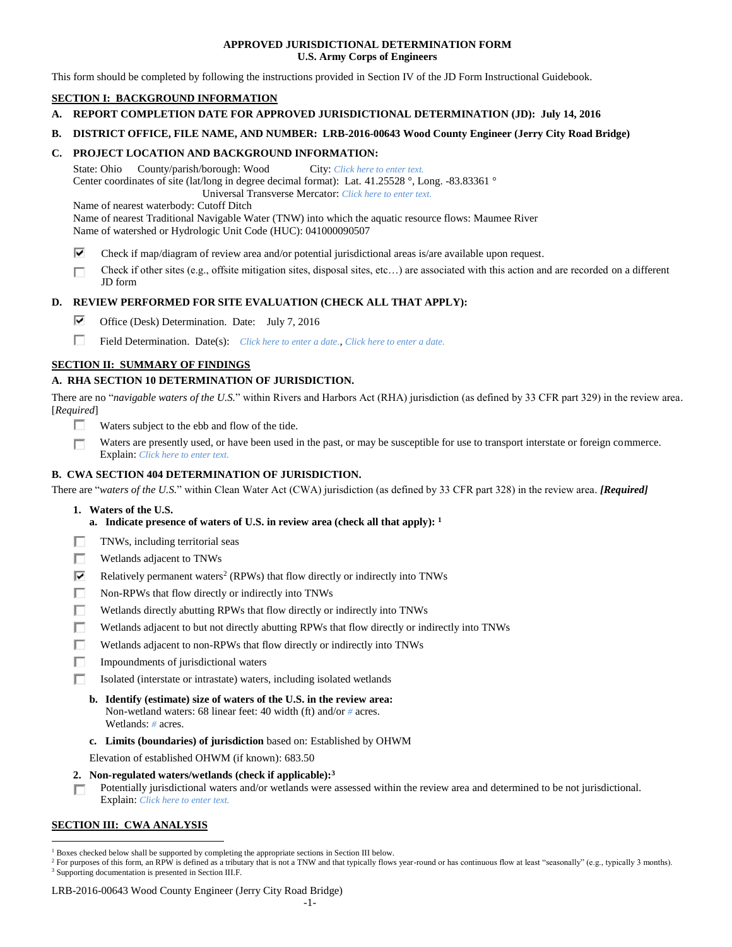### **APPROVED JURISDICTIONAL DETERMINATION FORM U.S. Army Corps of Engineers**

This form should be completed by following the instructions provided in Section IV of the JD Form Instructional Guidebook.

## **SECTION I: BACKGROUND INFORMATION**

- **A. REPORT COMPLETION DATE FOR APPROVED JURISDICTIONAL DETERMINATION (JD): July 14, 2016**
- **B. DISTRICT OFFICE, FILE NAME, AND NUMBER: LRB-2016-00643 Wood County Engineer (Jerry City Road Bridge)**

### **C. PROJECT LOCATION AND BACKGROUND INFORMATION:**

State: Ohio County/parish/borough: Wood City: *Click here to enter text.* Center coordinates of site (lat/long in degree decimal format): Lat. 41.25528 °, Long. -83.83361 °

Universal Transverse Mercator: *Click here to enter text.*

Name of nearest waterbody: Cutoff Ditch

Name of nearest Traditional Navigable Water (TNW) into which the aquatic resource flows: Maumee River Name of watershed or Hydrologic Unit Code (HUC): 041000090507

- ⊽ Check if map/diagram of review area and/or potential jurisdictional areas is/are available upon request.
- Check if other sites (e.g., offsite mitigation sites, disposal sites, etc…) are associated with this action and are recorded on a different п JD form

# **D. REVIEW PERFORMED FOR SITE EVALUATION (CHECK ALL THAT APPLY):**

- ⊽ Office (Desk) Determination. Date: July 7, 2016
- п Field Determination. Date(s): *Click here to enter a date.*, *Click here to enter a date.*

# **SECTION II: SUMMARY OF FINDINGS**

# **A. RHA SECTION 10 DETERMINATION OF JURISDICTION.**

There are no "*navigable waters of the U.S.*" within Rivers and Harbors Act (RHA) jurisdiction (as defined by 33 CFR part 329) in the review area. [*Required*]

- п Waters subject to the ebb and flow of the tide.
- Waters are presently used, or have been used in the past, or may be susceptible for use to transport interstate or foreign commerce. П Explain: *Click here to enter text.*

# **B. CWA SECTION 404 DETERMINATION OF JURISDICTION.**

There are "*waters of the U.S.*" within Clean Water Act (CWA) jurisdiction (as defined by 33 CFR part 328) in the review area. *[Required]*

- **1. Waters of the U.S.**
	- **a. Indicate presence of waters of U.S. in review area (check all that apply): 1**
- п TNWs, including territorial seas
- П Wetlands adjacent to TNWs
- ⊽ Relatively permanent waters<sup>2</sup> (RPWs) that flow directly or indirectly into TNWs
- п Non-RPWs that flow directly or indirectly into TNWs
- П Wetlands directly abutting RPWs that flow directly or indirectly into TNWs
- п Wetlands adjacent to but not directly abutting RPWs that flow directly or indirectly into TNWs
- Wetlands adjacent to non-RPWs that flow directly or indirectly into TNWs п
- п. Impoundments of jurisdictional waters
- П. Isolated (interstate or intrastate) waters, including isolated wetlands
	- **b. Identify (estimate) size of waters of the U.S. in the review area:** Non-wetland waters: 68 linear feet: 40 width (ft) and/or *#* acres. Wetlands: *#* acres.
	- **c. Limits (boundaries) of jurisdiction** based on: Established by OHWM

Elevation of established OHWM (if known): 683.50

- **2. Non-regulated waters/wetlands (check if applicable): 3**
- Potentially jurisdictional waters and/or wetlands were assessed within the review area and determined to be not jurisdictional. п. Explain: *Click here to enter text.*

# **SECTION III: CWA ANALYSIS**

LRB-2016-00643 Wood County Engineer (Jerry City Road Bridge)

 $\overline{a}$  $1$  Boxes checked below shall be supported by completing the appropriate sections in Section III below.

<sup>&</sup>lt;sup>2</sup> For purposes of this form, an RPW is defined as a tributary that is not a TNW and that typically flows year-round or has continuous flow at least "seasonally" (e.g., typically 3 months). <sup>3</sup> Supporting documentation is presented in Section III.F.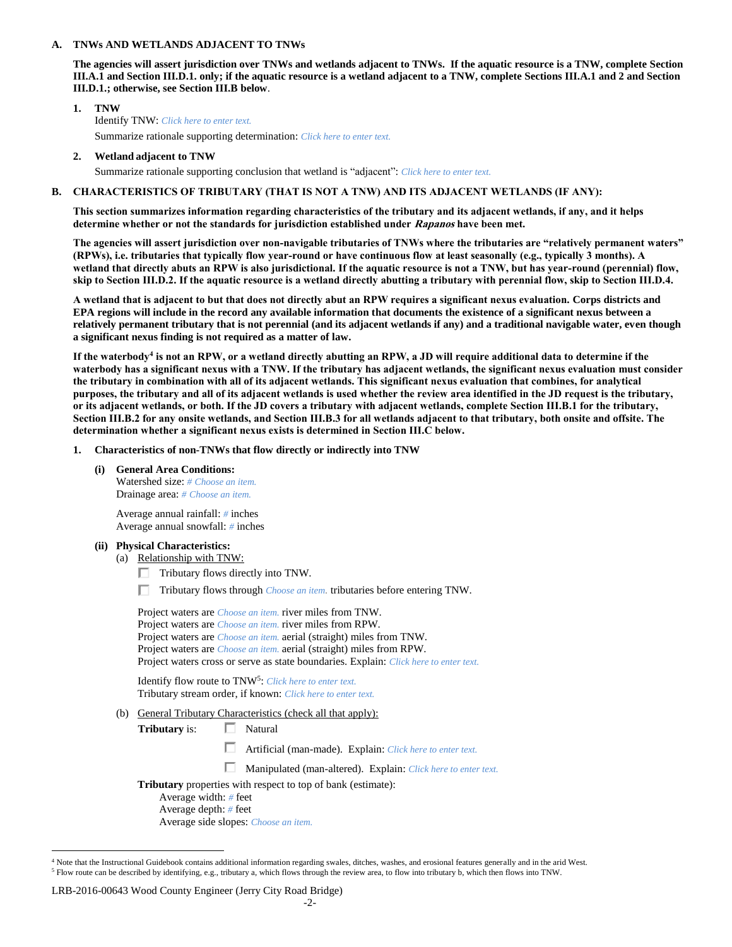#### **A. TNWs AND WETLANDS ADJACENT TO TNWs**

**The agencies will assert jurisdiction over TNWs and wetlands adjacent to TNWs. If the aquatic resource is a TNW, complete Section III.A.1 and Section III.D.1. only; if the aquatic resource is a wetland adjacent to a TNW, complete Sections III.A.1 and 2 and Section III.D.1.; otherwise, see Section III.B below**.

- **1. TNW**  Identify TNW: *Click here to enter text.* Summarize rationale supporting determination: *Click here to enter text.*
- **2. Wetland adjacent to TNW**

Summarize rationale supporting conclusion that wetland is "adjacent": *Click here to enter text.*

### **B. CHARACTERISTICS OF TRIBUTARY (THAT IS NOT A TNW) AND ITS ADJACENT WETLANDS (IF ANY):**

**This section summarizes information regarding characteristics of the tributary and its adjacent wetlands, if any, and it helps determine whether or not the standards for jurisdiction established under Rapanos have been met.** 

**The agencies will assert jurisdiction over non-navigable tributaries of TNWs where the tributaries are "relatively permanent waters" (RPWs), i.e. tributaries that typically flow year-round or have continuous flow at least seasonally (e.g., typically 3 months). A wetland that directly abuts an RPW is also jurisdictional. If the aquatic resource is not a TNW, but has year-round (perennial) flow, skip to Section III.D.2. If the aquatic resource is a wetland directly abutting a tributary with perennial flow, skip to Section III.D.4.**

**A wetland that is adjacent to but that does not directly abut an RPW requires a significant nexus evaluation. Corps districts and EPA regions will include in the record any available information that documents the existence of a significant nexus between a relatively permanent tributary that is not perennial (and its adjacent wetlands if any) and a traditional navigable water, even though a significant nexus finding is not required as a matter of law.**

**If the waterbody<sup>4</sup> is not an RPW, or a wetland directly abutting an RPW, a JD will require additional data to determine if the waterbody has a significant nexus with a TNW. If the tributary has adjacent wetlands, the significant nexus evaluation must consider the tributary in combination with all of its adjacent wetlands. This significant nexus evaluation that combines, for analytical purposes, the tributary and all of its adjacent wetlands is used whether the review area identified in the JD request is the tributary, or its adjacent wetlands, or both. If the JD covers a tributary with adjacent wetlands, complete Section III.B.1 for the tributary, Section III.B.2 for any onsite wetlands, and Section III.B.3 for all wetlands adjacent to that tributary, both onsite and offsite. The determination whether a significant nexus exists is determined in Section III.C below.**

- **1. Characteristics of non-TNWs that flow directly or indirectly into TNW**
	- **(i) General Area Conditions:** Watershed size: *# Choose an item.* Drainage area: *# Choose an item.*

Average annual rainfall: *#* inches Average annual snowfall: *#* inches

- **(ii) Physical Characteristics:**
	- (a) Relationship with TNW:
		- $\Box$  Tributary flows directly into TNW.
		- Tributary flows through *Choose an item.* tributaries before entering TNW.

| Project waters are <i>Choose an item</i> , river miles from TNW.                      |
|---------------------------------------------------------------------------------------|
| Project waters are <i>Choose an item</i> , river miles from RPW.                      |
| Project waters are <i>Choose an item.</i> aerial (straight) miles from TNW.           |
| Project waters are <i>Choose an item.</i> aerial (straight) miles from RPW.           |
| Project waters cross or serve as state boundaries. Explain: Click here to enter text. |
|                                                                                       |

Identify flow route to TNW<sup>5</sup>: *Click here to enter text.* Tributary stream order, if known: *Click here to enter text.*

(b) General Tributary Characteristics (check all that apply):

**Tributary** is:  $\Box$  Natural

- Artificial (man-made). Explain: *Click here to enter text.*
- Manipulated (man-altered). Explain: *Click here to enter text.*
- **Tributary** properties with respect to top of bank (estimate):
	- Average width: *#* feet Average depth: *#* feet Average side slopes: *Choose an item.*

#### LRB-2016-00643 Wood County Engineer (Jerry City Road Bridge)

 $\overline{a}$ 

<sup>4</sup> Note that the Instructional Guidebook contains additional information regarding swales, ditches, washes, and erosional features generally and in the arid West. <sup>5</sup> Flow route can be described by identifying, e.g., tributary a, which flows through the review area, to flow into tributary b, which then flows into TNW.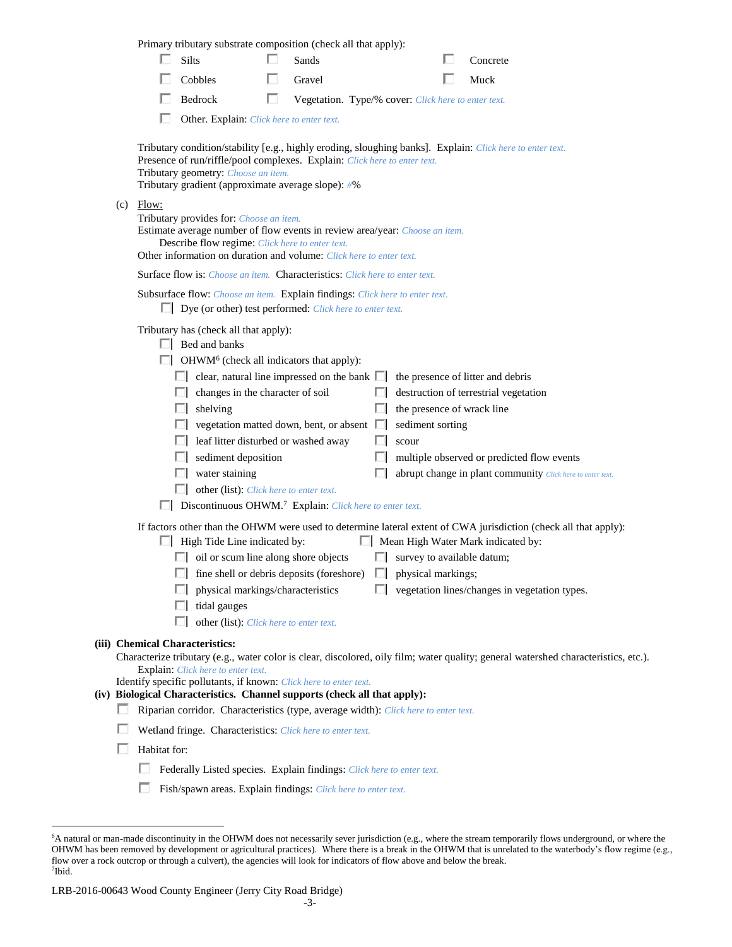|     |                                                                                                                                                                                                                                                                                     | Primary tributary substrate composition (check all that apply):                                                                                                                                                                                                                                                                                                                                                                                                                                                                                                                                                                                                                                            |   |                                                     |              |                                                                                              |  |                                                                                                                                                                                                                                                                                                                                                  |  |
|-----|-------------------------------------------------------------------------------------------------------------------------------------------------------------------------------------------------------------------------------------------------------------------------------------|------------------------------------------------------------------------------------------------------------------------------------------------------------------------------------------------------------------------------------------------------------------------------------------------------------------------------------------------------------------------------------------------------------------------------------------------------------------------------------------------------------------------------------------------------------------------------------------------------------------------------------------------------------------------------------------------------------|---|-----------------------------------------------------|--------------|----------------------------------------------------------------------------------------------|--|--------------------------------------------------------------------------------------------------------------------------------------------------------------------------------------------------------------------------------------------------------------------------------------------------------------------------------------------------|--|
|     |                                                                                                                                                                                                                                                                                     | Silts                                                                                                                                                                                                                                                                                                                                                                                                                                                                                                                                                                                                                                                                                                      |   | Sands                                               |              |                                                                                              |  | Concrete                                                                                                                                                                                                                                                                                                                                         |  |
|     |                                                                                                                                                                                                                                                                                     | Cobbles                                                                                                                                                                                                                                                                                                                                                                                                                                                                                                                                                                                                                                                                                                    |   | Gravel                                              |              |                                                                                              |  | Muck                                                                                                                                                                                                                                                                                                                                             |  |
|     |                                                                                                                                                                                                                                                                                     | Bedrock                                                                                                                                                                                                                                                                                                                                                                                                                                                                                                                                                                                                                                                                                                    | ш | Vegetation. Type/% cover: Click here to enter text. |              |                                                                                              |  |                                                                                                                                                                                                                                                                                                                                                  |  |
|     |                                                                                                                                                                                                                                                                                     | Other. Explain: Click here to enter text.                                                                                                                                                                                                                                                                                                                                                                                                                                                                                                                                                                                                                                                                  |   |                                                     |              |                                                                                              |  |                                                                                                                                                                                                                                                                                                                                                  |  |
|     | Tributary condition/stability [e.g., highly eroding, sloughing banks]. Explain: Click here to enter text.<br>Presence of run/riffle/pool complexes. Explain: Click here to enter text.<br>Tributary geometry: Choose an item.<br>Tributary gradient (approximate average slope): #% |                                                                                                                                                                                                                                                                                                                                                                                                                                                                                                                                                                                                                                                                                                            |   |                                                     |              |                                                                                              |  |                                                                                                                                                                                                                                                                                                                                                  |  |
| (c) | Flow:<br>Tributary provides for: Choose an item.<br>Estimate average number of flow events in review area/year: Choose an item.<br>Describe flow regime: Click here to enter text.<br>Other information on duration and volume: Click here to enter text.                           |                                                                                                                                                                                                                                                                                                                                                                                                                                                                                                                                                                                                                                                                                                            |   |                                                     |              |                                                                                              |  |                                                                                                                                                                                                                                                                                                                                                  |  |
|     |                                                                                                                                                                                                                                                                                     | Surface flow is: Choose an item. Characteristics: Click here to enter text.                                                                                                                                                                                                                                                                                                                                                                                                                                                                                                                                                                                                                                |   |                                                     |              |                                                                                              |  |                                                                                                                                                                                                                                                                                                                                                  |  |
|     | Subsurface flow: Choose an item. Explain findings: Click here to enter text.<br>$\Box$ Dye (or other) test performed: <i>Click here to enter text.</i>                                                                                                                              |                                                                                                                                                                                                                                                                                                                                                                                                                                                                                                                                                                                                                                                                                                            |   |                                                     |              |                                                                                              |  |                                                                                                                                                                                                                                                                                                                                                  |  |
|     |                                                                                                                                                                                                                                                                                     | Tributary has (check all that apply):<br>$\Box$ Bed and banks<br>$\Box$ OHWM <sup>6</sup> (check all indicators that apply):<br>$\Box$ clear, natural line impressed on the bank $\Box$<br>$\Box$ changes in the character of soil<br>$\Box$ shelving<br>$\Box$ vegetation matted down, bent, or absent $\Box$<br>leaf litter disturbed or washed away<br>$\Box$ sediment deposition<br>$\Box$ water staining<br>other (list): <i>Click here to enter text.</i><br>Discontinuous OHWM. <sup>7</sup> Explain: Click here to enter text.<br>$\Box$ High Tide Line indicated by:<br>$\Box$ oil or scum line along shore objects<br>$\Box$ fine shell or debris deposits (foreshore) $\Box$ physical markings; |   |                                                     | L.<br>ш<br>ш | the presence of wrack line<br>sediment sorting<br>scour<br>$\Box$ survey to available datum; |  | the presence of litter and debris<br>destruction of terrestrial vegetation<br>multiple observed or predicted flow events<br>abrupt change in plant community Click here to enter text.<br>If factors other than the OHWM were used to determine lateral extent of CWA jurisdiction (check all that apply):<br>Mean High Water Mark indicated by: |  |
|     |                                                                                                                                                                                                                                                                                     | physical markings/characteristics<br>tidal gauges<br>ш                                                                                                                                                                                                                                                                                                                                                                                                                                                                                                                                                                                                                                                     |   |                                                     |              |                                                                                              |  | $\Box$ vegetation lines/changes in vegetation types.                                                                                                                                                                                                                                                                                             |  |
|     |                                                                                                                                                                                                                                                                                     | other (list): Click here to enter text.                                                                                                                                                                                                                                                                                                                                                                                                                                                                                                                                                                                                                                                                    |   |                                                     |              |                                                                                              |  |                                                                                                                                                                                                                                                                                                                                                  |  |
|     |                                                                                                                                                                                                                                                                                     | (iii) Chemical Characteristics:<br>Explain: Click here to enter text.<br>Identify specific pollutants, if known: Click here to enter text.<br>(iv) Biological Characteristics. Channel supports (check all that apply):                                                                                                                                                                                                                                                                                                                                                                                                                                                                                    |   |                                                     |              |                                                                                              |  | Characterize tributary (e.g., water color is clear, discolored, oily film; water quality; general watershed characteristics, etc.).                                                                                                                                                                                                              |  |
|     | Riparian corridor. Characteristics (type, average width): Click here to enter text.                                                                                                                                                                                                 |                                                                                                                                                                                                                                                                                                                                                                                                                                                                                                                                                                                                                                                                                                            |   |                                                     |              |                                                                                              |  |                                                                                                                                                                                                                                                                                                                                                  |  |
|     | Wetland fringe. Characteristics: Click here to enter text.<br>Habitat for:<br>ш<br>Federally Listed species. Explain findings: Click here to enter text.                                                                                                                            |                                                                                                                                                                                                                                                                                                                                                                                                                                                                                                                                                                                                                                                                                                            |   |                                                     |              |                                                                                              |  |                                                                                                                                                                                                                                                                                                                                                  |  |
|     |                                                                                                                                                                                                                                                                                     |                                                                                                                                                                                                                                                                                                                                                                                                                                                                                                                                                                                                                                                                                                            |   |                                                     |              |                                                                                              |  |                                                                                                                                                                                                                                                                                                                                                  |  |
|     |                                                                                                                                                                                                                                                                                     |                                                                                                                                                                                                                                                                                                                                                                                                                                                                                                                                                                                                                                                                                                            |   |                                                     |              |                                                                                              |  |                                                                                                                                                                                                                                                                                                                                                  |  |
|     |                                                                                                                                                                                                                                                                                     | Fish/spawn areas. Explain findings: Click here to enter text.                                                                                                                                                                                                                                                                                                                                                                                                                                                                                                                                                                                                                                              |   |                                                     |              |                                                                                              |  |                                                                                                                                                                                                                                                                                                                                                  |  |

 $\overline{a}$ 

<sup>6</sup>A natural or man-made discontinuity in the OHWM does not necessarily sever jurisdiction (e.g., where the stream temporarily flows underground, or where the OHWM has been removed by development or agricultural practices). Where there is a break in the OHWM that is unrelated to the waterbody's flow regime (e.g., flow over a rock outcrop or through a culvert), the agencies will look for indicators of flow above and below the break. 7 Ibid.

LRB-2016-00643 Wood County Engineer (Jerry City Road Bridge)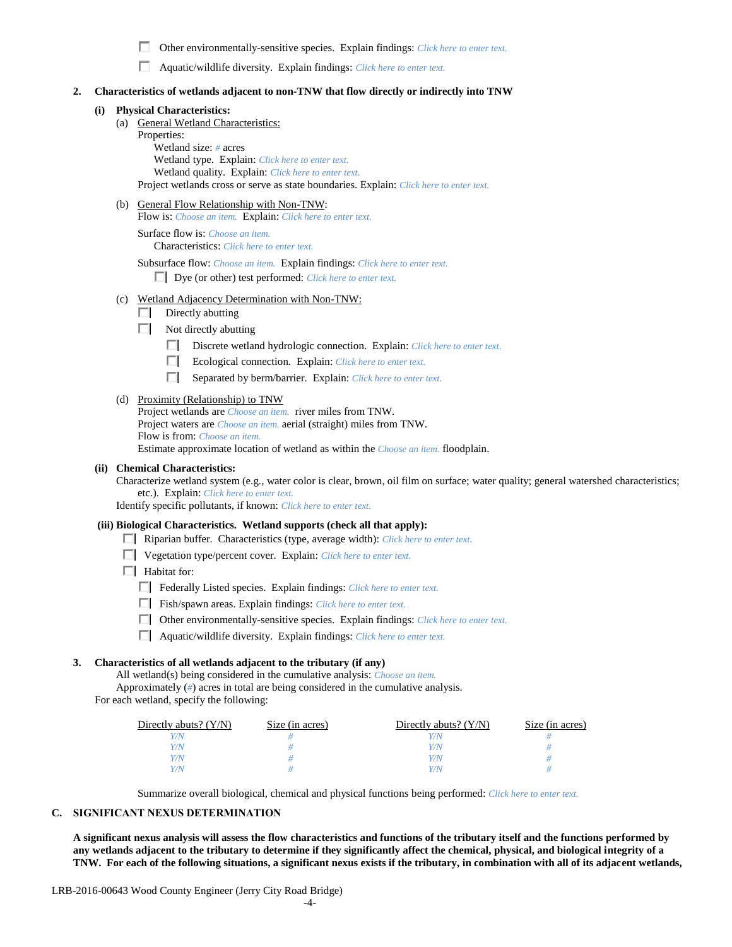п. Other environmentally-sensitive species. Explain findings: *Click here to enter text.*

| Aquatic/wildlife diversity. Explain findings: Click here to enter text. |  |  |
|-------------------------------------------------------------------------|--|--|
|-------------------------------------------------------------------------|--|--|

#### **2. Characteristics of wetlands adjacent to non-TNW that flow directly or indirectly into TNW**

### **(i) Physical Characteristics:**

- (a) General Wetland Characteristics:
	- Properties:

Wetland size: *#* acres Wetland type. Explain: *Click here to enter text.* Wetland quality. Explain: *Click here to enter text.* Project wetlands cross or serve as state boundaries. Explain: *Click here to enter text.*

(b) General Flow Relationship with Non-TNW:

Flow is: *Choose an item.* Explain: *Click here to enter text.*

Surface flow is: *Choose an item.* Characteristics: *Click here to enter text.*

Subsurface flow: *Choose an item.* Explain findings: *Click here to enter text.*

Dye (or other) test performed: *Click here to enter text.*

- (c) Wetland Adjacency Determination with Non-TNW:
	- $\Box$  Directly abutting
	- $\Box$  Not directly abutting
		- Discrete wetland hydrologic connection. Explain: *Click here to enter text.*
		- Ecological connection. Explain: *Click here to enter text.*
		- Separated by berm/barrier. Explain: *Click here to enter text.*

#### (d) Proximity (Relationship) to TNW

Project wetlands are *Choose an item.* river miles from TNW. Project waters are *Choose an item.* aerial (straight) miles from TNW. Flow is from: *Choose an item.* Estimate approximate location of wetland as within the *Choose an item.* floodplain.

#### **(ii) Chemical Characteristics:**

Characterize wetland system (e.g., water color is clear, brown, oil film on surface; water quality; general watershed characteristics; etc.). Explain: *Click here to enter text.*

Identify specific pollutants, if known: *Click here to enter text.*

#### **(iii) Biological Characteristics. Wetland supports (check all that apply):**

- Riparian buffer. Characteristics (type, average width): *Click here to enter text.*
- Vegetation type/percent cover. Explain: *Click here to enter text.*
- $\Box$  Habitat for:
	- Federally Listed species. Explain findings: *Click here to enter text*.
	- Fish/spawn areas. Explain findings: *Click here to enter text.*
	- Other environmentally-sensitive species. Explain findings: *Click here to enter text.*
	- Aquatic/wildlife diversity. Explain findings: *Click here to enter text.*

### **3. Characteristics of all wetlands adjacent to the tributary (if any)**

All wetland(s) being considered in the cumulative analysis: *Choose an item.* Approximately (*#*) acres in total are being considered in the cumulative analysis.

| For each wetland, specify the following: |  |
|------------------------------------------|--|
|------------------------------------------|--|

| Directly abuts? $(Y/N)$ | Size (in acres) | Directly abuts? $(Y/N)$ | Size (in acres) |
|-------------------------|-----------------|-------------------------|-----------------|
|                         |                 |                         |                 |
| V/N                     |                 | Y/N                     |                 |
| Y/N                     |                 | Y/N                     |                 |
|                         |                 |                         |                 |

Summarize overall biological, chemical and physical functions being performed: *Click here to enter text.*

#### **C. SIGNIFICANT NEXUS DETERMINATION**

**A significant nexus analysis will assess the flow characteristics and functions of the tributary itself and the functions performed by any wetlands adjacent to the tributary to determine if they significantly affect the chemical, physical, and biological integrity of a TNW. For each of the following situations, a significant nexus exists if the tributary, in combination with all of its adjacent wetlands,**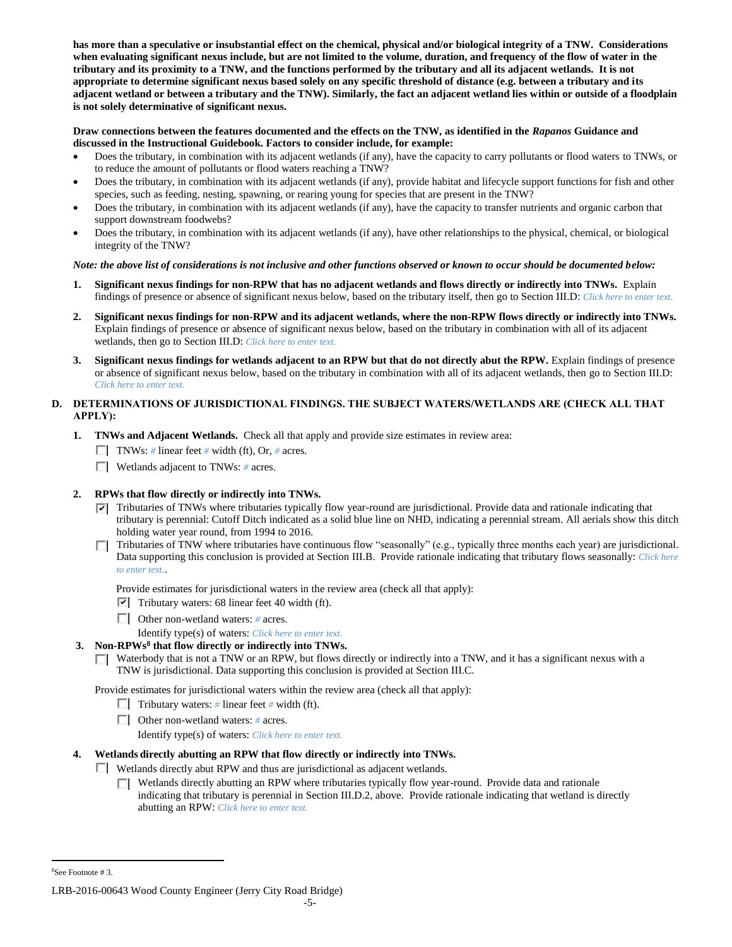**has more than a speculative or insubstantial effect on the chemical, physical and/or biological integrity of a TNW. Considerations when evaluating significant nexus include, but are not limited to the volume, duration, and frequency of the flow of water in the tributary and its proximity to a TNW, and the functions performed by the tributary and all its adjacent wetlands. It is not appropriate to determine significant nexus based solely on any specific threshold of distance (e.g. between a tributary and its adjacent wetland or between a tributary and the TNW). Similarly, the fact an adjacent wetland lies within or outside of a floodplain is not solely determinative of significant nexus.** 

### **Draw connections between the features documented and the effects on the TNW, as identified in the** *Rapanos* **Guidance and discussed in the Instructional Guidebook. Factors to consider include, for example:**

- Does the tributary, in combination with its adjacent wetlands (if any), have the capacity to carry pollutants or flood waters to TNWs, or to reduce the amount of pollutants or flood waters reaching a TNW?
- Does the tributary, in combination with its adjacent wetlands (if any), provide habitat and lifecycle support functions for fish and other species, such as feeding, nesting, spawning, or rearing young for species that are present in the TNW?
- Does the tributary, in combination with its adjacent wetlands (if any), have the capacity to transfer nutrients and organic carbon that support downstream foodwebs?
- Does the tributary, in combination with its adjacent wetlands (if any), have other relationships to the physical, chemical, or biological integrity of the TNW?

### *Note: the above list of considerations is not inclusive and other functions observed or known to occur should be documented below:*

- **1. Significant nexus findings for non-RPW that has no adjacent wetlands and flows directly or indirectly into TNWs.** Explain findings of presence or absence of significant nexus below, based on the tributary itself, then go to Section III.D: *Click here to enter text.*
- **2. Significant nexus findings for non-RPW and its adjacent wetlands, where the non-RPW flows directly or indirectly into TNWs.**  Explain findings of presence or absence of significant nexus below, based on the tributary in combination with all of its adjacent wetlands, then go to Section III.D: *Click here to enter text.*
- **3. Significant nexus findings for wetlands adjacent to an RPW but that do not directly abut the RPW.** Explain findings of presence or absence of significant nexus below, based on the tributary in combination with all of its adjacent wetlands, then go to Section III.D: *Click here to enter text.*

## **D. DETERMINATIONS OF JURISDICTIONAL FINDINGS. THE SUBJECT WATERS/WETLANDS ARE (CHECK ALL THAT APPLY):**

- **1. TNWs and Adjacent Wetlands.** Check all that apply and provide size estimates in review area:
	- **TNWs:** # linear feet # width (ft), Or, # acres.
	- Wetlands adjacent to TNWs: *#* acres.

# **2. RPWs that flow directly or indirectly into TNWs.**

- Tributaries of TNWs where tributaries typically flow year-round are jurisdictional. Provide data and rationale indicating that tributary is perennial: Cutoff Ditch indicated as a solid blue line on NHD, indicating a perennial stream. All aerials show this ditch holding water year round, from 1994 to 2016.
- $\Box$  Tributaries of TNW where tributaries have continuous flow "seasonally" (e.g., typically three months each year) are jurisdictional. Data supporting this conclusion is provided at Section III.B. Provide rationale indicating that tributary flows seasonally: *Click here to enter text.*.
	- Provide estimates for jurisdictional waters in the review area (check all that apply):
	- $\triangledown$  Tributary waters: 68 linear feet 40 width (ft).
	- Other non-wetland waters: *#* acres.
		- Identify type(s) of waters: *Click here to enter text.*
- **3. Non-RPWs<sup>8</sup> that flow directly or indirectly into TNWs.**
	- $\Box$  Waterbody that is not a TNW or an RPW, but flows directly or indirectly into a TNW, and it has a significant nexus with a TNW is jurisdictional. Data supporting this conclusion is provided at Section III.C.

Provide estimates for jurisdictional waters within the review area (check all that apply):

- **Tributary waters:** # linear feet # width (ft).
- Other non-wetland waters: *#* acres.

Identify type(s) of waters: *Click here to enter text.*

### **4. Wetlands directly abutting an RPW that flow directly or indirectly into TNWs.**

Wetlands directly abut RPW and thus are jurisdictional as adjacent wetlands.

Wetlands directly abutting an RPW where tributaries typically flow year-round. Provide data and rationale indicating that tributary is perennial in Section III.D.2, above. Provide rationale indicating that wetland is directly abutting an RPW: *Click here to enter text.*

 $\overline{a}$ 

<sup>8</sup>See Footnote # 3.

LRB-2016-00643 Wood County Engineer (Jerry City Road Bridge)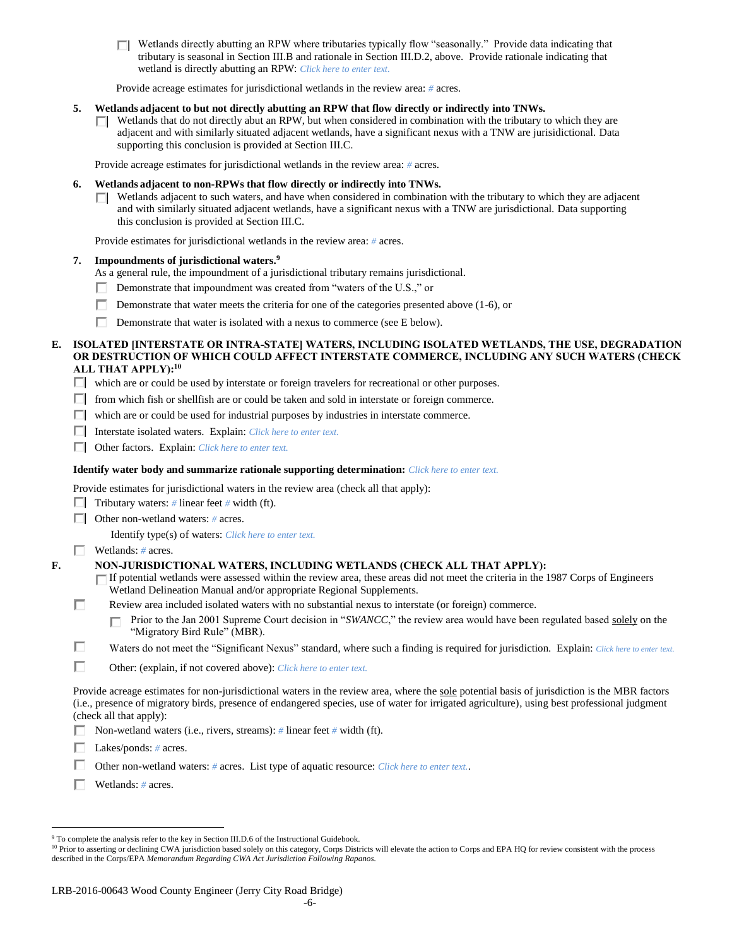Wetlands directly abutting an RPW where tributaries typically flow "seasonally." Provide data indicating that tributary is seasonal in Section III.B and rationale in Section III.D.2, above. Provide rationale indicating that wetland is directly abutting an RPW: *Click here to enter text.*

Provide acreage estimates for jurisdictional wetlands in the review area: *#* acres.

### **5. Wetlands adjacent to but not directly abutting an RPW that flow directly or indirectly into TNWs.**

 $\Box$  Wetlands that do not directly abut an RPW, but when considered in combination with the tributary to which they are adjacent and with similarly situated adjacent wetlands, have a significant nexus with a TNW are jurisidictional. Data supporting this conclusion is provided at Section III.C.

Provide acreage estimates for jurisdictional wetlands in the review area: *#* acres.

### **6. Wetlands adjacent to non-RPWs that flow directly or indirectly into TNWs.**

 $\Box$  Wetlands adjacent to such waters, and have when considered in combination with the tributary to which they are adjacent and with similarly situated adjacent wetlands, have a significant nexus with a TNW are jurisdictional. Data supporting this conclusion is provided at Section III.C.

Provide estimates for jurisdictional wetlands in the review area: *#* acres.

#### **7. Impoundments of jurisdictional waters. 9**

- As a general rule, the impoundment of a jurisdictional tributary remains jurisdictional.
- Demonstrate that impoundment was created from "waters of the U.S.," or
- Demonstrate that water meets the criteria for one of the categories presented above  $(1-6)$ , or
- Demonstrate that water is isolated with a nexus to commerce (see E below).

### **E. ISOLATED [INTERSTATE OR INTRA-STATE] WATERS, INCLUDING ISOLATED WETLANDS, THE USE, DEGRADATION OR DESTRUCTION OF WHICH COULD AFFECT INTERSTATE COMMERCE, INCLUDING ANY SUCH WATERS (CHECK ALL THAT APPLY):<sup>10</sup>**

which are or could be used by interstate or foreign travelers for recreational or other purposes.

- $\Box$  from which fish or shellfish are or could be taken and sold in interstate or foreign commerce.
- $\Box$  which are or could be used for industrial purposes by industries in interstate commerce.
- Interstate isolated waters.Explain: *Click here to enter text.*
- Other factors.Explain: *Click here to enter text.*

### **Identify water body and summarize rationale supporting determination:** *Click here to enter text.*

Provide estimates for jurisdictional waters in the review area (check all that apply):

- $\Box$  Tributary waters: # linear feet # width (ft).
- Other non-wetland waters: *#* acres.

Identify type(s) of waters: *Click here to enter text.*

#### Wetlands: *#* acres.

П

п.

## **F. NON-JURISDICTIONAL WATERS, INCLUDING WETLANDS (CHECK ALL THAT APPLY):**

- If potential wetlands were assessed within the review area, these areas did not meet the criteria in the 1987 Corps of Engineers Wetland Delineation Manual and/or appropriate Regional Supplements.
- Review area included isolated waters with no substantial nexus to interstate (or foreign) commerce.
	- Prior to the Jan 2001 Supreme Court decision in "*SWANCC*," the review area would have been regulated based solely on the "Migratory Bird Rule" (MBR).
- Waters do not meet the "Significant Nexus" standard, where such a finding is required for jurisdiction. Explain: *Click here to enter text.*
- П Other: (explain, if not covered above): *Click here to enter text.*

Provide acreage estimates for non-jurisdictional waters in the review area, where the sole potential basis of jurisdiction is the MBR factors (i.e., presence of migratory birds, presence of endangered species, use of water for irrigated agriculture), using best professional judgment (check all that apply):

Non-wetland waters (i.e., rivers, streams): *#* linear feet *#* width (ft).

Lakes/ponds: *#* acres.

Other non-wetland waters: *#* acres. List type of aquatic resource: *Click here to enter text.*.

Wetlands: *#* acres.

 $\overline{a}$ <sup>9</sup> To complete the analysis refer to the key in Section III.D.6 of the Instructional Guidebook.

<sup>&</sup>lt;sup>10</sup> Prior to asserting or declining CWA jurisdiction based solely on this category, Corps Districts will elevate the action to Corps and EPA HQ for review consistent with the process described in the Corps/EPA *Memorandum Regarding CWA Act Jurisdiction Following Rapanos.*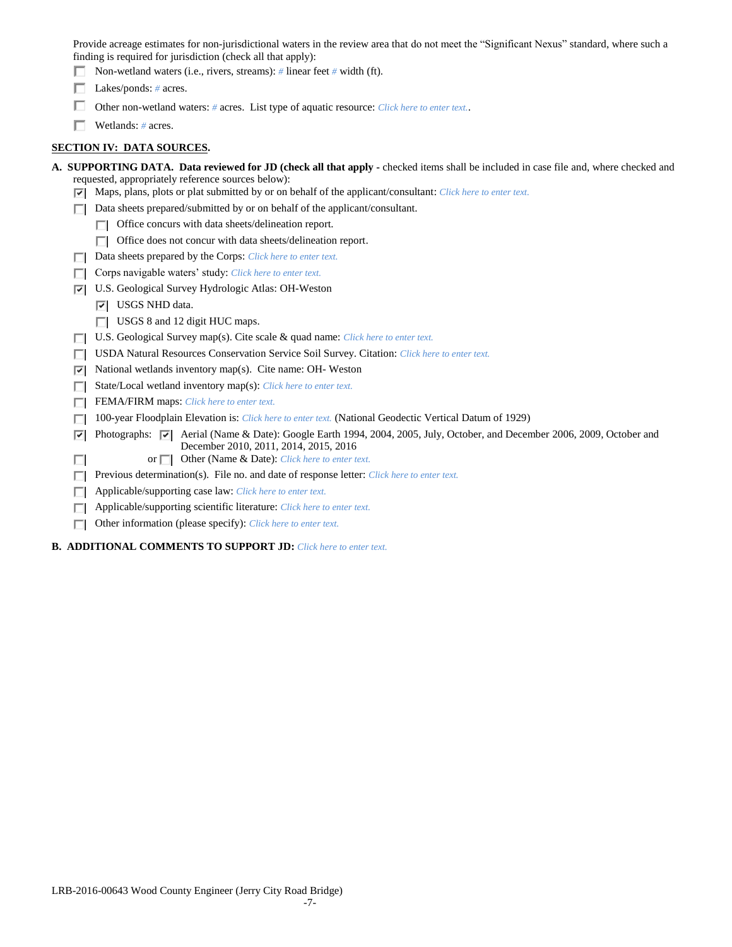Provide acreage estimates for non-jurisdictional waters in the review area that do not meet the "Significant Nexus" standard, where such a finding is required for jurisdiction (check all that apply):

- Non-wetland waters (i.e., rivers, streams): *#* linear feet *#* width (ft).
- Lakes/ponds: # acres.
- Other non-wetland waters: *#* acres. List type of aquatic resource: *Click here to enter text.*.
- Wetlands: *#* acres.

# **SECTION IV: DATA SOURCES.**

| A. SUPPORTING DATA. Data reviewed for JD (check all that apply - checked items shall be included in case file and, where checked and                                               |
|------------------------------------------------------------------------------------------------------------------------------------------------------------------------------------|
| requested, appropriately reference sources below):                                                                                                                                 |
| Maps, plans, plots or plat submitted by or on behalf of the applicant/consultant: Click here to enter text.<br>罓                                                                   |
| Data sheets prepared/submitted by or on behalf of the applicant/consultant.                                                                                                        |
| Office concurs with data sheets/delineation report.                                                                                                                                |
| Office does not concur with data sheets/delineation report.<br>П                                                                                                                   |
| Data sheets prepared by the Corps: Click here to enter text.                                                                                                                       |
| Corps navigable waters' study: Click here to enter text.                                                                                                                           |
| U.S. Geological Survey Hydrologic Atlas: OH-Weston<br>⊽                                                                                                                            |
| USGS NHD data.<br>ल।                                                                                                                                                               |
| USGS 8 and 12 digit HUC maps.<br>ш                                                                                                                                                 |
| U.S. Geological Survey map(s). Cite scale & quad name: Click here to enter text.                                                                                                   |
| <b>USDA Natural Resources Conservation Service Soil Survey. Citation:</b> Click here to enter text.                                                                                |
| National wetlands inventory map(s). Cite name: OH- Weston<br>⊽                                                                                                                     |
| State/Local wetland inventory map(s): Click here to enter text.                                                                                                                    |
| FEMA/FIRM maps: Click here to enter text.                                                                                                                                          |
| 100-year Floodplain Elevation is: <i>Click here to enter text</i> . (National Geodectic Vertical Datum of 1929)                                                                    |
| Photographs: $\overline{v}$ Aerial (Name & Date): Google Earth 1994, 2004, 2005, July, October, and December 2006, 2009, October and<br>⊽<br>December 2010, 2011, 2014, 2015, 2016 |
| or $\Box$ Other (Name & Date): Click here to enter text.                                                                                                                           |
| Previous determination(s). File no. and date of response letter: Click here to enter text.                                                                                         |
| Applicable/supporting case law: Click here to enter text.                                                                                                                          |
| Applicable/supporting scientific literature: Click here to enter text.                                                                                                             |
| Other information (please specify): Click here to enter text.                                                                                                                      |
| <b>B. ADDITIONAL COMMENTS TO SUPPORT JD:</b> Click here to enter text.                                                                                                             |